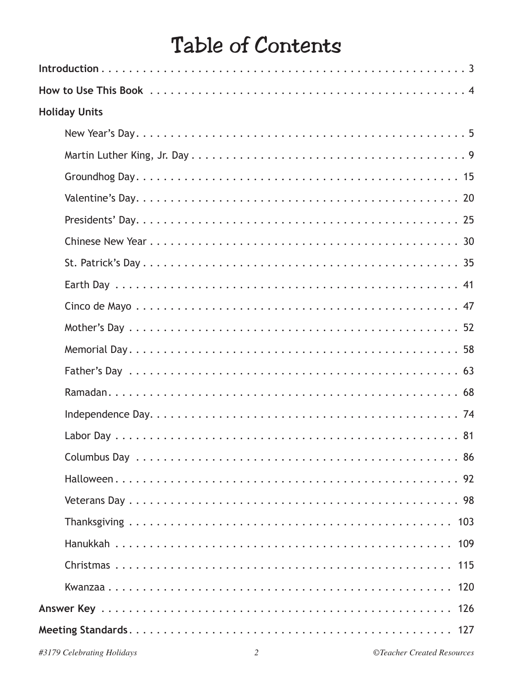### Table of Contents

| <b>Holiday Units</b> |
|----------------------|
|                      |
|                      |
|                      |
|                      |
|                      |
|                      |
|                      |
|                      |
|                      |
|                      |
|                      |
|                      |
|                      |
|                      |
|                      |
|                      |
|                      |
|                      |
|                      |
|                      |
|                      |
| 120                  |
|                      |
|                      |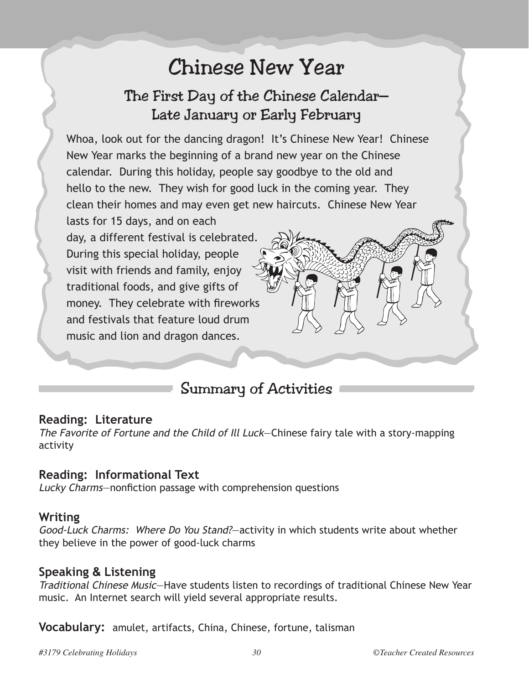## Chinese New Year

### The First Day of the Chinese Calendar— Late January or Early February

Whoa, look out for the dancing dragon! It's Chinese New Year! Chinese New Year marks the beginning of a brand new year on the Chinese calendar. During this holiday, people say goodbye to the old and hello to the new. They wish for good luck in the coming year. They clean their homes and may even get new haircuts. Chinese New Year

lasts for 15 days, and on each day, a different festival is celebrated. During this special holiday, people visit with friends and family, enjoy traditional foods, and give gifts of money. They celebrate with fireworks and festivals that feature loud drum music and lion and dragon dances.

### Summary of Activities

#### **Reading: Literature**

The Favorite of Fortune and the Child of Ill Luck—Chinese fairy tale with a story-mapping activity

#### **Reading: Informational Text**

Lucky Charms—nonfiction passage with comprehension questions

#### **Writing**

Good-Luck Charms: Where Do You Stand?—activity in which students write about whether they believe in the power of good-luck charms

#### **Speaking & Listening**

Traditional Chinese Music—Have students listen to recordings of traditional Chinese New Year music. An Internet search will yield several appropriate results.

**Vocabulary:** amulet, artifacts, China, Chinese, fortune, talisman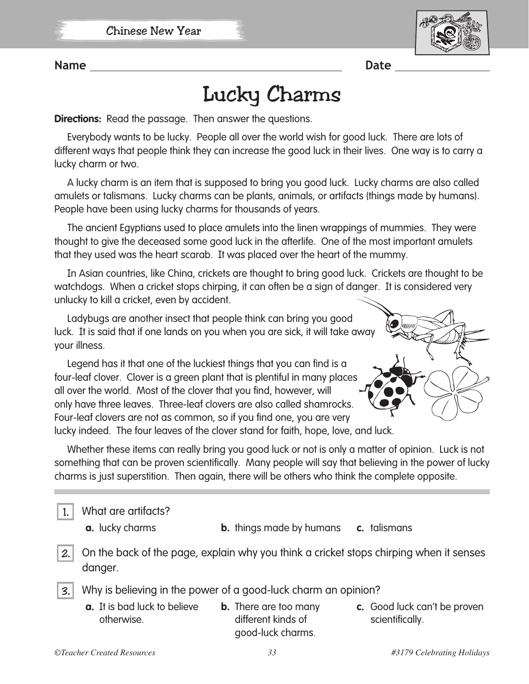

**Name** Date **Date** 

## Lucky Charms

**Directions:** Read the passage. Then answer the questions.

Everybody wants to be lucky. People all over the world wish for good luck. There are lots of different ways that people think they can increase the good luck in their lives. One way is to carry a lucky charm or two.

A lucky charm is an item that is supposed to bring you good luck. Lucky charms are also called amulets or talismans. Lucky charms can be plants, animals, or artifacts (things made by humans). People have been using lucky charms for thousands of years.

The ancient Egyptians used to place amulets into the linen wrappings of mummies. They were thought to give the deceased some good luck in the afterlife. One of the most important amulets that they used was the heart scarab. It was placed over the heart of the mummy.

In Asian countries, like China, crickets are thought to bring good luck. Crickets are thought to be watchdogs. When a cricket stops chirping, it can often be a sign of danger. It is considered very unlucky to kill a cricket, even by accident.

Ladybugs are another insect that people think can bring you good luck. It is said that if one lands on you when you are sick, it will take away your illness.

Legend has it that one of the luckiest things that you can find is a four-leaf clover. Clover is a green plant that is plentiful in many places all over the world. Most of the clover that you find, however, will only have three leaves. Three-leaf clovers are also called shamrocks. Four-leaf clovers are not as common, so if you find one, you are very lucky indeed. The four leaves of the clover stand for faith, hope, love, and luck.



Whether these items can really bring you good luck or not is only a matter of opinion. Luck is not something that can be proven scientifically. Many people will say that believing in the power of lucky charms is just superstition. Then again, there will be others who think the complete opposite.

1. What are artifacts?

- 
- **a.** lucky charms **b.** things made by humans **c.** talismans

2. On the back of the page, explain why you think a cricket stops chirping when it senses danger.

- 3. Why is believing in the power of a good-luck charm an opinion?
	- **a.** It is bad luck to believe otherwise.
- **b.** There are too many different kinds of good-luck charms.
- **c.** Good luck can't be proven scientifically.